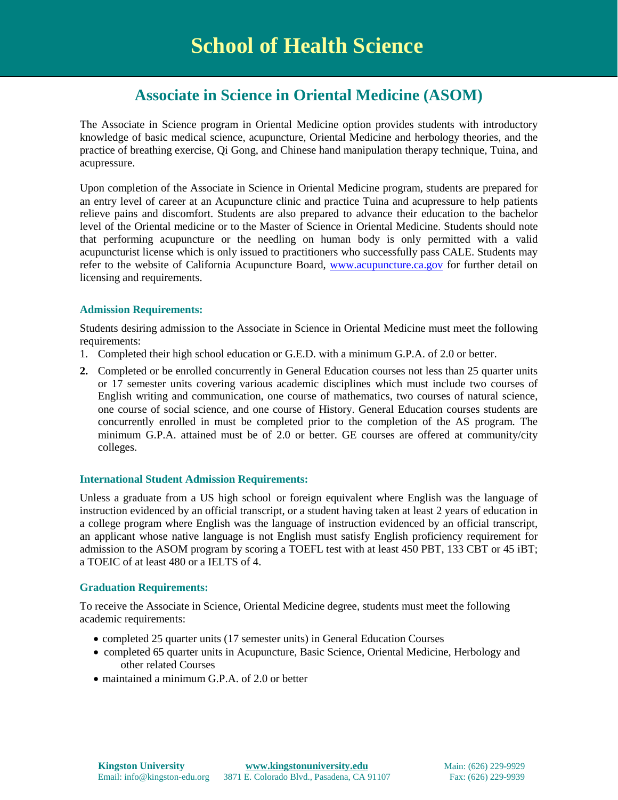# **Associate in Science in Oriental Medicine (ASOM)**

The Associate in Science program in Oriental Medicine option provides students with introductory knowledge of basic medical science, acupuncture, Oriental Medicine and herbology theories, and the practice of breathing exercise, Qi Gong, and Chinese hand manipulation therapy technique, Tuina, and acupressure.

Upon completion of the Associate in Science in Oriental Medicine program, students are prepared for an entry level of career at an Acupuncture clinic and practice Tuina and acupressure to help patients relieve pains and discomfort. Students are also prepared to advance their education to the bachelor level of the Oriental medicine or to the Master of Science in Oriental Medicine. Students should note that performing acupuncture or the needling on human body is only permitted with a valid acupuncturist license which is only issued to practitioners who successfully pass CALE. Students may refer to the website of California Acupuncture Board, [www.acupuncture.ca.gov](http://www.acupuncture.ca.gov/) for further detail on licensing and requirements.

#### **Admission Requirements:**

Students desiring admission to the Associate in Science in Oriental Medicine must meet the following requirements:

- 1. Completed their high school education or G.E.D. with a minimum G.P.A. of 2.0 or better.
- **2.** Completed or be enrolled concurrently in General Education courses not less than 25 quarter units or 17 semester units covering various academic disciplines which must include two courses of English writing and communication, one course of mathematics, two courses of natural science, one course of social science, and one course of History. General Education courses students are concurrently enrolled in must be completed prior to the completion of the AS program. The minimum G.P.A. attained must be of 2.0 or better. GE courses are offered at community/city colleges.

#### **International Student Admission Requirements:**

Unless a graduate from a US high school or foreign equivalent where English was the language of instruction evidenced by an official transcript, or a student having taken at least 2 years of education in a college program where English was the language of instruction evidenced by an official transcript, an applicant whose native language is not English must satisfy English proficiency requirement for admission to the ASOM program by scoring a TOEFL test with at least 450 PBT, 133 CBT or 45 iBT; a TOEIC of at least 480 or a IELTS of 4.

#### **Graduation Requirements:**

To receive the Associate in Science, Oriental Medicine degree, students must meet the following academic requirements:

- completed 25 quarter units (17 semester units) in General Education Courses
- completed 65 quarter units in Acupuncture, Basic Science, Oriental Medicine, Herbology and other related Courses
- maintained a minimum G.P.A. of 2.0 or better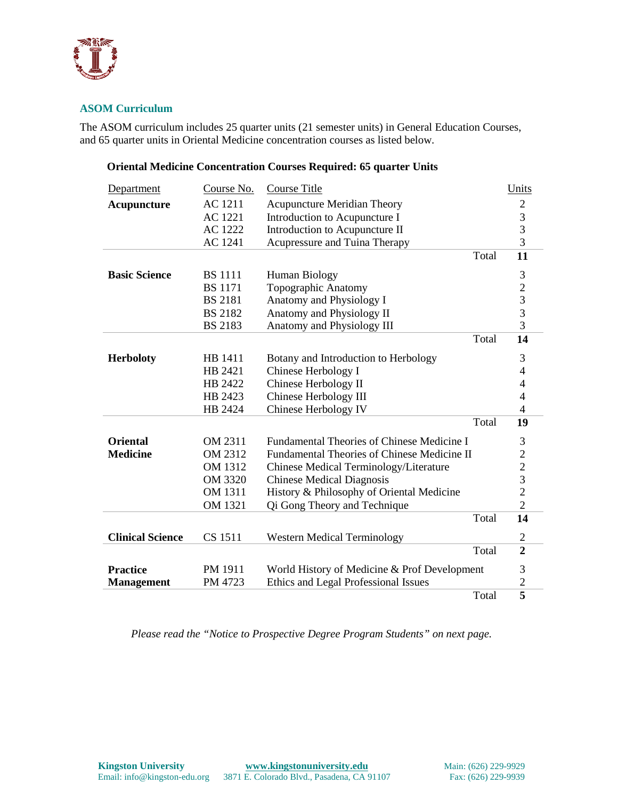

## **ASOM Curriculum**

The ASOM curriculum includes 25 quarter units (21 semester units) in General Education Courses, and 65 quarter units in Oriental Medicine concentration courses as listed below.

### **Oriental Medicine Concentration Courses Required: 65 quarter Units**

| Department              | Course No.     | <b>Course Title</b>                          |       | Units                                      |
|-------------------------|----------------|----------------------------------------------|-------|--------------------------------------------|
| Acupuncture             | <b>AC 1211</b> | <b>Acupuncture Meridian Theory</b>           |       | $\overline{c}$                             |
|                         | AC 1221        | Introduction to Acupuncture I                |       | 3                                          |
|                         | AC 1222        | Introduction to Acupuncture II               |       | 3                                          |
|                         | <b>AC 1241</b> | Acupressure and Tuina Therapy                |       | $\overline{3}$                             |
|                         |                |                                              | Total | 11                                         |
| <b>Basic Science</b>    | <b>BS</b> 1111 | Human Biology                                |       | 3                                          |
|                         | <b>BS</b> 1171 | Topographic Anatomy                          |       | $\overline{c}$                             |
|                         | <b>BS 2181</b> | Anatomy and Physiology I                     |       |                                            |
|                         | <b>BS 2182</b> | Anatomy and Physiology II                    |       | $\frac{3}{3}$                              |
|                         | <b>BS 2183</b> | Anatomy and Physiology III                   |       | 3                                          |
|                         |                |                                              | Total | 14                                         |
| <b>Herboloty</b>        | HB 1411        | Botany and Introduction to Herbology         |       | 3                                          |
|                         | HB 2421        | Chinese Herbology I                          |       | $\overline{\mathcal{A}}$                   |
|                         | HB 2422        | Chinese Herbology II                         |       | $\overline{4}$                             |
|                         | HB 2423        | Chinese Herbology III                        |       | $\overline{4}$                             |
|                         | HB 2424        | Chinese Herbology IV                         |       | $\overline{4}$                             |
|                         |                |                                              | Total | 19                                         |
| <b>Oriental</b>         | OM 2311        | Fundamental Theories of Chinese Medicine I   |       | 3                                          |
| <b>Medicine</b>         | OM 2312        | Fundamental Theories of Chinese Medicine II  |       | $\overline{c}$                             |
|                         | OM 1312        | Chinese Medical Terminology/Literature       |       |                                            |
|                         | OM 3320        | <b>Chinese Medical Diagnosis</b>             |       | $\begin{array}{c} 2 \\ 3 \\ 2 \end{array}$ |
|                         | OM 1311        | History & Philosophy of Oriental Medicine    |       |                                            |
|                         | OM 1321        | Qi Gong Theory and Technique                 |       | $\overline{2}$                             |
|                         |                |                                              | Total | 14                                         |
| <b>Clinical Science</b> | CS 1511        | <b>Western Medical Terminology</b>           |       | 2                                          |
|                         |                |                                              | Total | $\overline{2}$                             |
| <b>Practice</b>         | PM 1911        | World History of Medicine & Prof Development |       | 3                                          |
| <b>Management</b>       | PM 4723        | Ethics and Legal Professional Issues         |       | $\overline{c}$                             |
|                         |                |                                              | Total | $\overline{5}$                             |

*Please read the "Notice to Prospective Degree Program Students" on next page.*